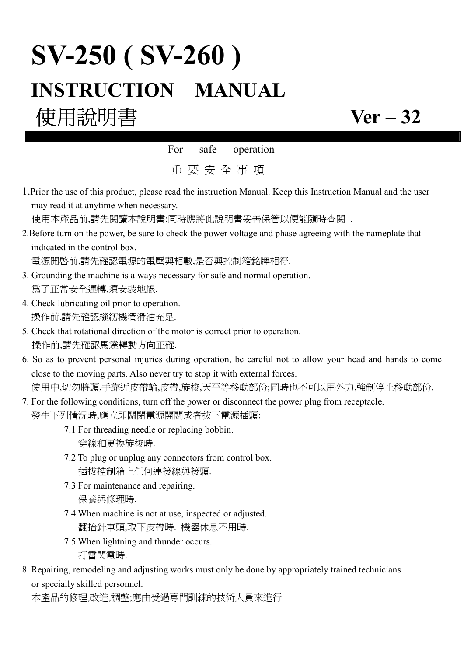# **SV-250 ( SV-260 ) INSTRUCTION MANUAL**

## 使用說明書 **Ver – 32**

For safe operation

重 要 安 全 事 項

1.Prior the use of this product, please read the instruction Manual. Keep this Instruction Manual and the user may read it at anytime when necessary.

使用本產品前,請先閱讀本說明書;同時應將此說明書妥善保管以便能隨時查閱 .

2.Before turn on the power, be sure to check the power voltage and phase agreeing with the nameplate that indicated in the control box.

電源開啟前,請先確認電源的電壓與相數,是否與控制箱銘牌相符.

- 3. Grounding the machine is always necessary for safe and normal operation. 為了正常安全運轉,須安裝地線.
- 4. Check lubricating oil prior to operation. 操作前,請先確認縫紉機潤滑油充足.
- 5. Check that rotational direction of the motor is correct prior to operation. 操作前,請先確認馬達轉動方向正確.
- 6. So as to prevent personal injuries during operation, be careful not to allow your head and hands to come close to the moving parts. Also never try to stop it with external forces. 使用中,切勿將頭,手靠近皮帶輪,皮帶,旋梭,天平等移動部份;同時也不可以用外力,強制停止移動部份.
- 7. For the following conditions, turn off the power or disconnect the power plug from receptacle. 發生下列情況時,應立即關閉電源開關或者拔下電源插頭:
	- 7.1 For threading needle or replacing bobbin. 穿線和更換旋梭時.
	- 7.2 To plug or unplug any connectors from control box. 插拔控制箱上任何連接線與接頭.
	- 7.3 For maintenance and repairing. 保養與修理時.
	- 7.4 When machine is not at use, inspected or adjusted. 翻抬針車頭,取下皮帶時. 機器休息不用時.
	- 7.5 When lightning and thunder occurs. 打雷閃電時.
- 8. Repairing, remodeling and adjusting works must only be done by appropriately trained technicians or specially skilled personnel.

本產品的修理,改造,調整;應由受過專門訓練的技術人員來進行.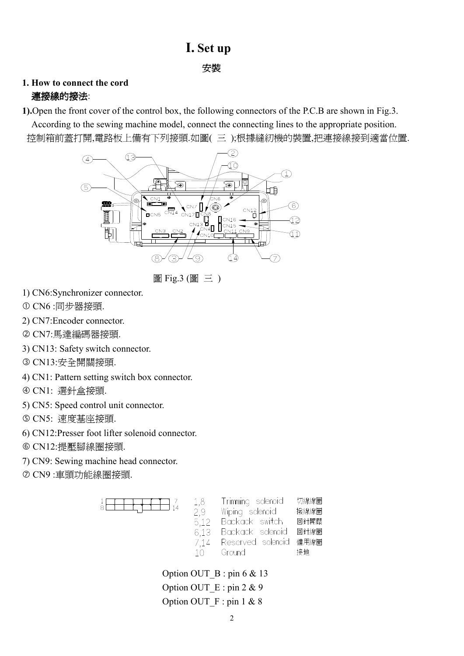## **I. Set up**

**安裝 医血管** 医血管 医血管 医心包 医心包 医心包 医心包

### **1. How to connect the cord** 連接線的接法:

**1).**Open the front cover of the control box, the following connectors of the P.C.B are shown in Fig.3.

 According to the sewing machine model, connect the connecting lines to the appropriate position. 控制箱前蓋打開,電路板上備有下列接頭.如圖( 三 );根據縫紉機的裝置,把連接線接到適當位置.



圖 Fig.3 (圖 三 )

- 1) CN6:Synchronizer connector.
- CN6 :同步器接頭.
- 2) CN7:Encoder connector.
- CN7:馬達編碼器接頭.
- 3) CN13: Safety switch connector.
- CN13:安全開關接頭.
- 4) CN1: Pattern setting switch box connector.
- CN1: 選針盒接頭.
- 5) CN5: Speed control unit connector.
- CN5: 速度基座接頭.
- 6) CN12:Presser foot lifter solenoid connector.
- CN12:提壓腳線圈接頭.
- 7) CN9: Sewing machine head connector.
- CN9 :車頭功能線圈接頭.

| 1,8  | Trimming solenoid | 切線線圈 |
|------|-------------------|------|
| 2.9  | Wiping solenoid   | 撥線線圈 |
| 5.12 | Backack switch    | 回針開關 |
| 6.13 | Backack solenoid  | 回針線圈 |
| 7.14 | Reserved solenoid | 備用線圈 |
| 10   | Ground            | 接地   |
|      |                   |      |

Option OUT  $B : p \in \mathcal{X}$  13 Option OUT  $E : \text{pin } 2 \& 9$ Option OUT  $F : pin 1 & 8$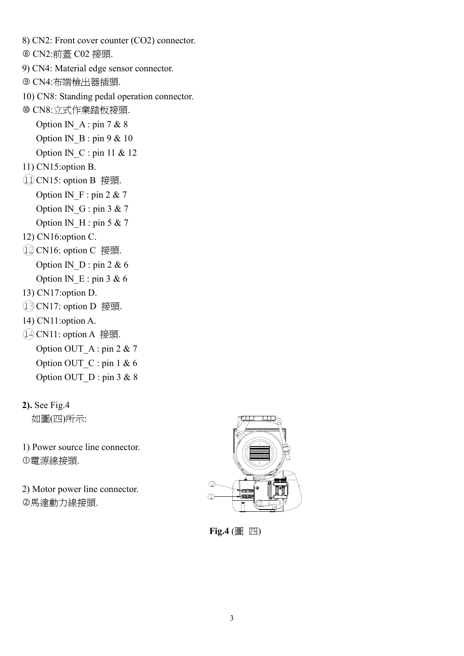8) CN2: Front cover counter (CO2) connector. CN2:前蓋 C02 接頭. 9) CN4: Material edge sensor connector. CN4:布端檢出器插頭. 10) CN8: Standing pedal operation connector. CN8:立式作業踏板接頭. Option IN A : pin 7 & 8 Option IN\_B : pin 9  $& 10$ Option IN  $C$  : pin 11 & 12 11) CN15:option B. CN15: option B 接頭. Option IN  $F : pin 2 & 7$ Option IN  $G : pin 3 & 7$ Option IN  $H : pin 5 & 7$ 12) CN16:option C. CN16: option C 接頭. Option IN\_D : pin 2 & 6 Option IN  $E : pin 3 & 6$ 13) CN17:option D. CN17: option D 接頭. 14) CN11:option A. CN11: option A 接頭. Option OUT\_A : pin 2 & 7 Option OUT  $C : \text{pin} 1 \& 6$ Option OUT\_D : pin 3 & 8

如圖(四)所示:

1) Power source line connector. 電源線接頭.

2) Motor power line connector. -馬達動力線接頭.



 **Fig.4** (圖 四)

**<sup>2).</sup>** See Fig.4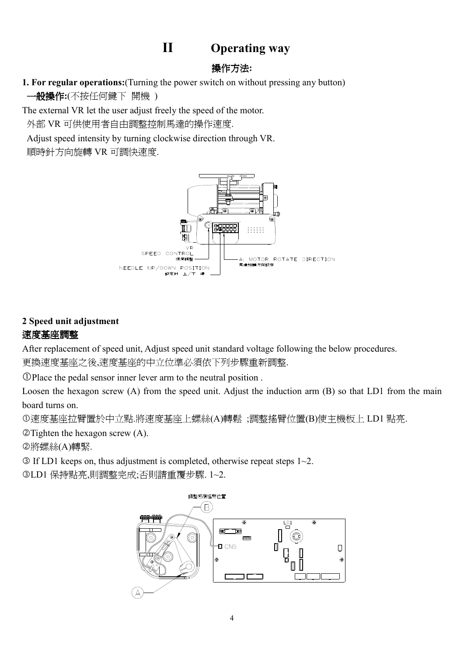## **II Operating way**

## 操作方法**:**

**1. For regular operations:**(Turning the power switch on without pressing any button) 一般操作**:**(不按任何鍵下 開機 )

The external VR let the user adjust freely the speed of the motor.

外部 VR 可供使用者自由調整控制馬達的操作速度.

Adjust speed intensity by turning clockwise direction through VR.

順時針方向旋轉 VR 可調快速度.



## **2 Speed unit adjustment**  速度基座調整

After replacement of speed unit, Adjust speed unit standard voltage following the below procedures. 更換速度基座之後,速度基座的中立位準必須依下列步驟重新調整.

Place the pedal sensor inner lever arm to the neutral position .

Loosen the hexagon screw (A) from the speed unit. Adjust the induction arm (B) so that LD1 from the main board turns on.

速度基座拉臂置於中立點.將速度基座上螺絲(A)轉鬆 ;調整搖臂位置(B)使主機板上 LD1 點亮.

-Tighten the hexagon screw (A).

-將螺絲(A)轉緊.

 $\circ$  If LD1 keeps on, thus adjustment is completed, otherwise repeat steps 1~2.

LD1 保持點亮,則調整完成;否則請重覆步驟. 1~2.

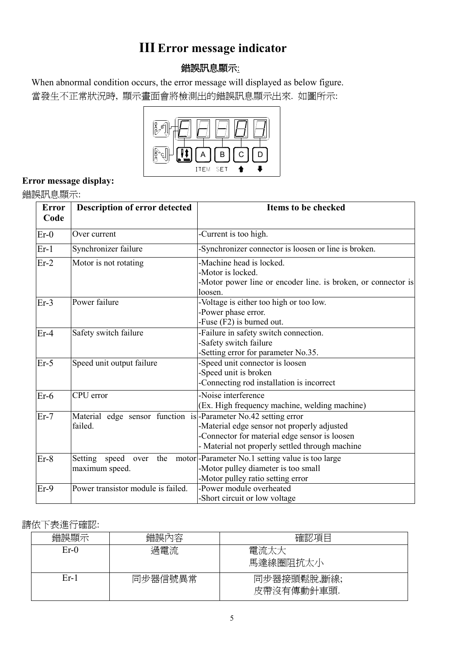## **III Error message indicator**

## 錯誤訊息顯示:

 When abnormal condition occurs, the error message will displayed as below figure. 當發生不正常狀況時, 顯示畫面會將檢測出的錯誤訊息顯示出來. 如圖所示:



## **Error message display:**

錯誤訊息顯示:

| <b>Error</b><br>Code | <b>Description of error detected</b>                                      | <b>Items to be checked</b>                                                                                                                      |
|----------------------|---------------------------------------------------------------------------|-------------------------------------------------------------------------------------------------------------------------------------------------|
| $Er-0$               | Over current                                                              | -Current is too high.                                                                                                                           |
| $Er-1$               | Synchronizer failure                                                      | -Synchronizer connector is loosen or line is broken.                                                                                            |
| $Er-2$               | Motor is not rotating                                                     | -Machine head is locked.<br>-Motor is locked.<br>-Motor power line or encoder line. is broken, or connector is<br>loosen.                       |
| $Er-3$               | Power failure                                                             | -Voltage is either too high or too low.<br>-Power phase error.<br>-Fuse (F2) is burned out.                                                     |
| $Er-4$               | Safety switch failure                                                     | -Failure in safety switch connection.<br>Safety switch failure<br>-Setting error for parameter No.35.                                           |
| $Er-5$               | Speed unit output failure                                                 | -Speed unit connector is loosen<br>-Speed unit is broken<br>Connecting rod installation is incorrect                                            |
| $Er-6$               | CPU error                                                                 | -Noise interference<br>(Ex. High frequency machine, welding machine)                                                                            |
| $Er-7$               | Material edge sensor function is-Parameter No.42 setting error<br>failed. | -Material edge sensor not properly adjusted<br>-Connector for material edge sensor is loosen<br>- Material not properly settled through machine |
| $Er-8$               | Setting speed<br>maximum speed.                                           | over the motor - Parameter No.1 setting value is too large<br>-Motor pulley diameter is too small<br>-Motor pulley ratio setting error          |
| $Er-9$               | Power transistor module is failed.                                        | -Power module overheated<br>-Short circuit or low voltage                                                                                       |

### 請依下表進行確認:

| 錯誤顯示   | 錯誤內容    | 確認項目                      |
|--------|---------|---------------------------|
| $Er-0$ | 過電流     | 電流太大<br>馬達線圈阻抗太小          |
| $Er-1$ | 同步器信號異常 | 同步器接頭鬆脫,斷線;<br>皮帶沒有傳動針車頭. |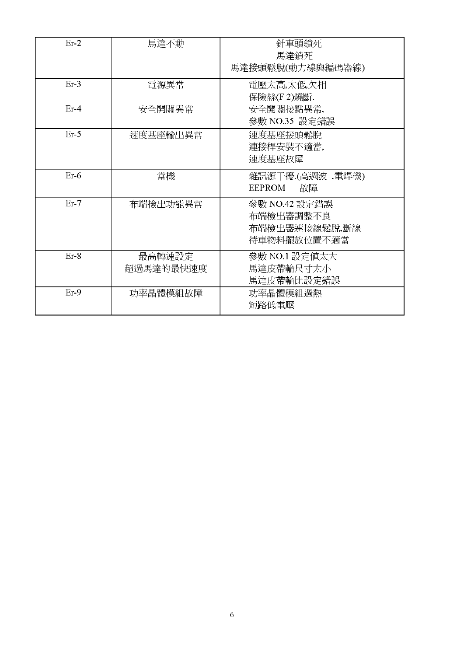| $Er-2$ | 馬達不動                | 針車頭鎖死<br>馬達鎖死<br>馬達接頭鬆脫(動力線與編碼器線)                          |
|--------|---------------------|------------------------------------------------------------|
| $Er-3$ | 電源異常                | 電壓太高,太低,欠相<br>保險絲(F2)燒斷.                                   |
| $Er-4$ | 安全開關異常              | 安全開關接點異常,<br>參數 NO.35 設定錯誤                                 |
| $Er-5$ | 速度基座輸出異常            | 速度基座接頭鬆脫<br>連接桿安裝不適當,<br>速度基座故障                            |
| $Er-6$ | 當機                  | 雜訊源干擾(高週波 ,電焊機)<br>EEPROM<br>故障                            |
| $Er-7$ | 布端檢出功能異常            | 參數 NO.42 設定錯誤<br>布端檢出器調整不良<br>布端檢出器連接線鬆脫,斷線<br>待車物料擺放位置不適當 |
| $Er-8$ | 最高轉速設定<br>超過馬達的最快速度 | 參數 NO.1 設定値太大<br>馬達皮帶輪尺寸太小<br>馬達皮帶輪比設定錯誤                   |
| $Er-9$ | 功率晶體模組故障            | 功率晶體模組過熱<br>短路低電壓                                          |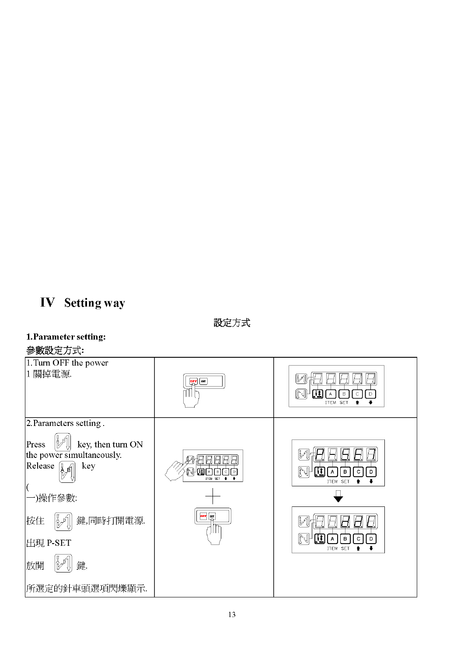## **IV** Setting way

設定方式

#### 1. Parameter setting:

#### 參數設定方式:

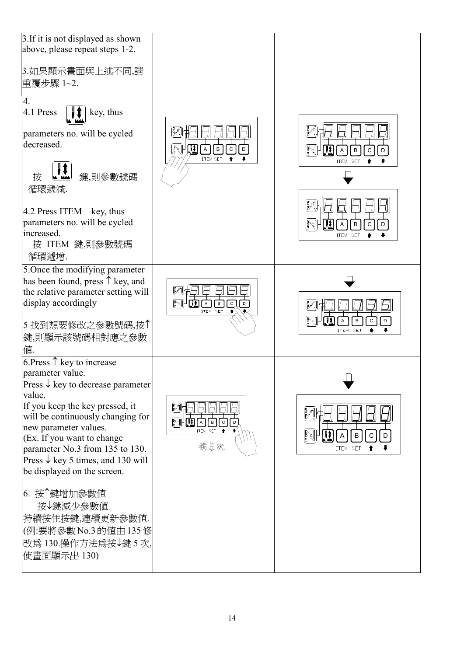| 3. If it is not displayed as shown<br>above, please repeat steps 1-2.<br>3.如果顯示畫面與上述不同,請<br>重覆步驟 1~2.                                                                                                                                                                                                                                                                                                                                                                          |                                                                        |                                                                                    |
|--------------------------------------------------------------------------------------------------------------------------------------------------------------------------------------------------------------------------------------------------------------------------------------------------------------------------------------------------------------------------------------------------------------------------------------------------------------------------------|------------------------------------------------------------------------|------------------------------------------------------------------------------------|
| 4.<br>4.1 Press<br>key, thus<br>parameters no. will be cycled<br>decreased.<br>鍵,則參數號碼<br>按<br>循環遞減.<br>4.2 Press ITEM key, thus<br>parameters no. will be cycled<br>increased.<br>按 ITEM 鍵,則參數號碼<br>循環遞增.                                                                                                                                                                                                                                                                     | ਿ√⊬∭Ω<br>$\vert A \vert$<br>Iв<br>$\mathsf C$<br>D<br>ITEM SET         | }`s  +<br>$\,$ B<br>C<br>D<br>ITEM SET<br>84<br>$\, {\sf B}$<br>C<br>D<br>ITEM SET |
| 5. Once the modifying parameter<br>has been found, press $\uparrow$ key, and<br>the relative parameter setting will<br>display accordingly<br>5 找到想要修改之參數號碼,按个<br>鍵,則顯示該號碼相對應之參數<br>値.                                                                                                                                                                                                                                                                                         | [Mari]}<br>ि सिमि सि भी क्<br>$\overline{c}$<br>$\sqrt{a}$<br>ITEM SET | D<br>C<br>B<br>ITEM SET                                                            |
| 6. Press $\uparrow$ key to increase<br>parameter value.<br>Press $\downarrow$ key to decrease parameter<br>value.<br>If you keep the key pressed, it<br>will be continuously changing for<br>new parameter values.<br>(Ex. If you want to change<br>parameter No.3 from 135 to 130.<br>Press $\downarrow$ key 5 times, and 130 will<br>be displayed on the screen.<br>6. 按个鍵增加參數値<br>按→鍵減少參數値<br>持續按住按鍵,連續更新參數值.<br>(例:要將參數 No.3 的值由 135 修<br>改爲130.操作方法爲按↓鍵5次,<br>使畫面顯示出 130) | <b>NINA</b><br>ITEM SET<br>按5次                                         | ဖြီး ငျိ<br>B<br>С<br>D<br>ITEM SET                                                |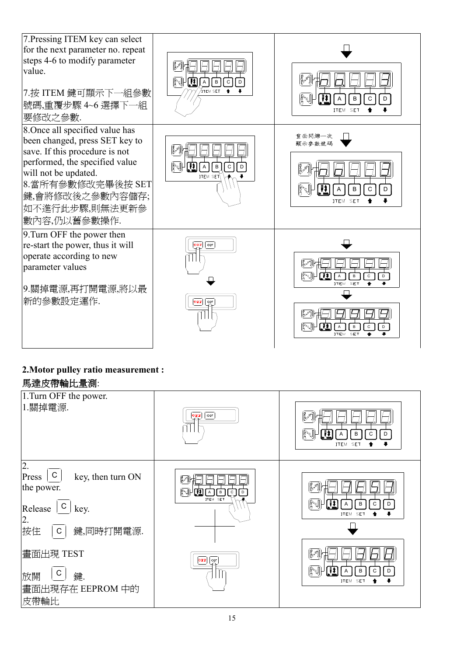

#### **2.Motor pulley ratio measurement :**  馬達皮帶輪比量測:

| <b>闷进火市粣儿里側</b> ・                                                                                                                                                                                       |                                                                                                            |                                                          |  |
|---------------------------------------------------------------------------------------------------------------------------------------------------------------------------------------------------------|------------------------------------------------------------------------------------------------------------|----------------------------------------------------------|--|
| 1. Turn OFF the power.<br>1.關掉電源.                                                                                                                                                                       | $\overline{\circ}$<br><b>OFF</b>                                                                           | B<br>C<br>D<br>ITEM SET                                  |  |
| $\overline{2}$ .<br>$\mathsf{C}$<br>key, then turn ON<br>Press<br>the power.<br>C<br>Release<br>key.<br>2.<br>按住<br>鍵,同時打開電源.<br>$\mathsf{C}$<br>畫面出現 TEST<br>С<br>放開<br>鍵.<br>畫面出現存在 EEPROM 中的<br>皮帶輪比 | ř<br>$\mathbb{N}$ lian<br>I c<br>I D<br>$\sqrt{B}$<br>ITEM SET<br>$\boxed{\text{off}}$ $\boxed{\text{on}}$ | Pol<br>B<br>D<br>ITEM SET<br>နု့မျ<br>B<br>D<br>ITEM SET |  |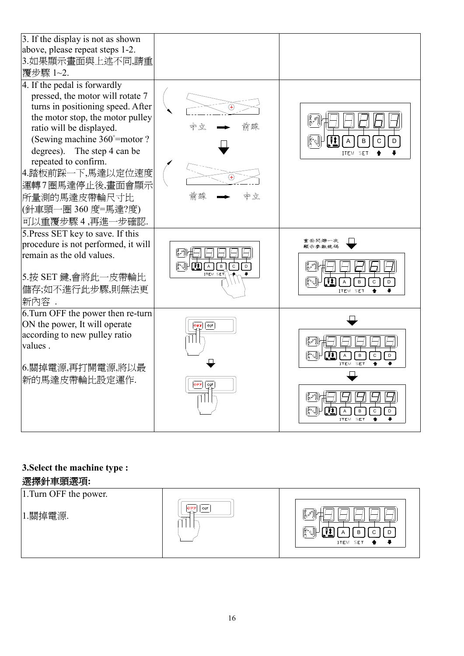| 3. If the display is not as shown<br>above, please repeat steps 1-2.<br>3.如果顯示畫面與上述不同,請重<br>覆步驟 1~2.                                                                                                                                                                                                                                                          |                                                          |                                                                                  |
|---------------------------------------------------------------------------------------------------------------------------------------------------------------------------------------------------------------------------------------------------------------------------------------------------------------------------------------------------------------|----------------------------------------------------------|----------------------------------------------------------------------------------|
| 4. If the pedal is forwardly<br>pressed, the motor will rotate 7<br>turns in positioning speed. After<br>the motor stop, the motor pulley<br>ratio will be displayed.<br>(Sewing machine 360°=motor?)<br>degrees). The step 4 can be<br>repeated to confirm.<br>4.踏板前踩一下,馬達以定位速度<br>運轉7圈馬達停止後,畫面會顯示<br>所量測的馬達皮帶輪尺寸比<br>(針車頭一圈 360 度=馬達?度)<br>可以重覆步驟 4,再進一步確認. |                                                          | र्दे हैं <br>B<br>$\mathsf D$<br>C<br>ITEM SET                                   |
| 5. Press SET key to save. If this                                                                                                                                                                                                                                                                                                                             |                                                          | 重面閃爍一次                                                                           |
| procedure is not performed, it will<br>remain as the old values.<br>5.按 SET 鍵,會將此一皮帶輪比<br>儲存;如不進行此步驟,則無法更<br>新內容.                                                                                                                                                                                                                                             | M<br><b>ALLET</b><br>Ιв<br>$\mathsf{c}$<br>D<br>ITEM SET | 贾示参数鼓码<br>四<br>(R-4)<br>A<br>$\overline{\mathsf{D}}$<br>$\mathsf B$<br>${\bf C}$ |

## **3.Select the machine type :**

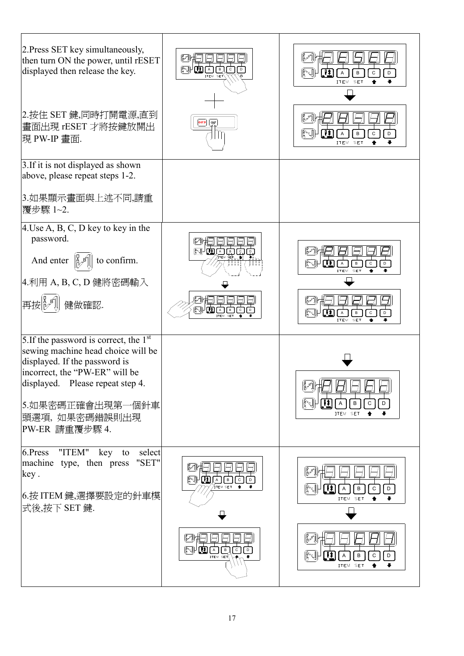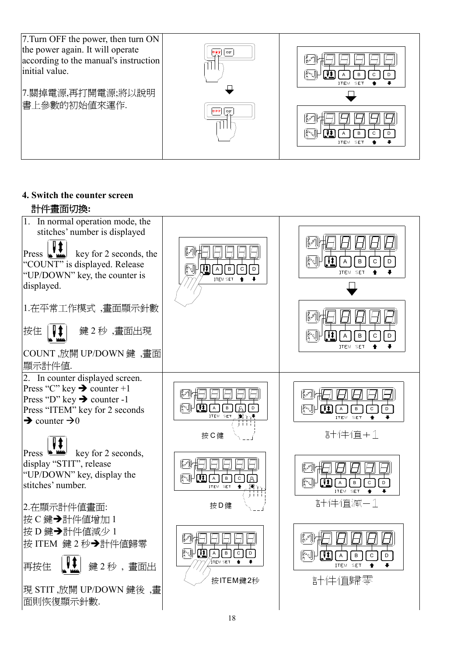

**4. Switch the counter screen**  計件畫面切換**:**

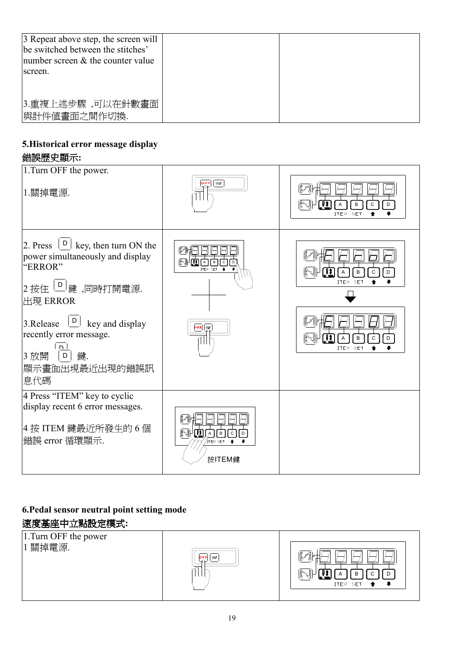| 3 Repeat above step, the screen will<br>be switched between the stitches'<br>number screen $&$ the counter value<br>screen. |  |
|-----------------------------------------------------------------------------------------------------------------------------|--|
| 3.重複上述步驟,可以在針數畫面<br> 與計件値畫面之間作切換.                                                                                           |  |

## **5.Historical error message display**

### 錯誤歷史顯示**:**

| 1. Turn OFF the power.<br> 1.關掉電源.                                                                                                                                                                                                                                                                                                     | $\overline{\mathbb{C}^{\tt rs}_\sim}$<br>ON                                     | $\blacksquare$<br>(}^{)<br>B<br>$\mathsf{C}$<br>$\mathsf D$<br>A<br><b>ITEM</b><br><b>SET</b>                                                                     |
|----------------------------------------------------------------------------------------------------------------------------------------------------------------------------------------------------------------------------------------------------------------------------------------------------------------------------------------|---------------------------------------------------------------------------------|-------------------------------------------------------------------------------------------------------------------------------------------------------------------|
| $\left[\begin{array}{c} \textsf{D} \end{array}\right]$<br>key, then turn ON the<br>$2.$ Press<br>power simultaneously and display<br>"ERROR"<br> 2 按住 │D│ <sub>鍵,</sub> 同時打開電源.<br>出現 ERROR<br>3. Release $\boxed{\square}$<br>key and display<br>recently error message.<br>n.<br> 3 放開<br>$\mathsf D$<br>鍵.<br>顯示畫面出現最近出現的錯誤訊<br>息代碼 | ဖြီး<br>N<br>$\text{I} \text{I} \text{I} \text{I}$<br>l c<br>ITEM SET<br>OFF ON | $\mathbb{R}^{\mathbb{P}}$<br>(0 %)<br>IJ<br>B<br>Α<br>D<br>C<br>ITEM SET<br>$\mathbb{R}^{\mathbb{R}}$<br>(6세<br>$\mathbf{u}$<br>D<br>Α<br>B<br>С<br>ITEM SET<br>≖ |
| 4 Press "ITEM" key to cyclic<br>display recent 6 error messages.<br>4 按 ITEM 鍵最近所發生的 6 個<br> 錯誤 error 循環顯示.                                                                                                                                                                                                                            | ∦∛<br>$\mathbb{F}_{3}^{3}$<br>'uado<br>$\overline{I}$<br>ÍTEM SET<br>按ITEM鍵     |                                                                                                                                                                   |

## **6.Pedal sensor neutral point setting mode**  速度基座中立點設定模式**:**

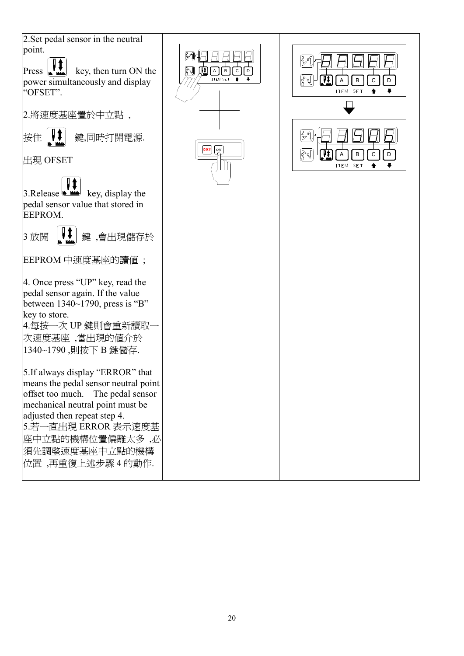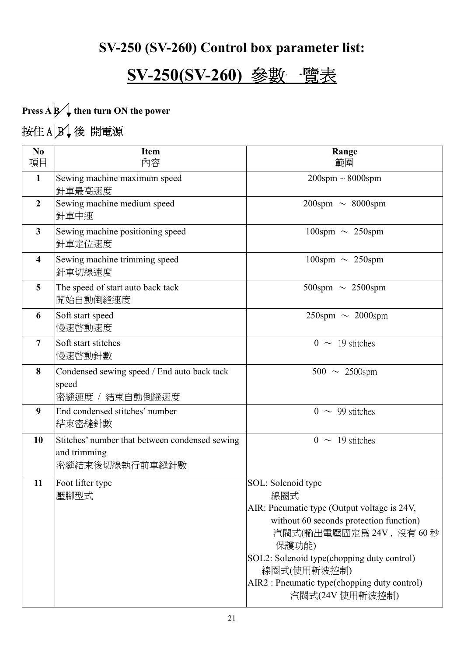## **SV-250 (SV-260) Control box parameter list:**

## **SV-250(SV-260)** 參數一覽表

**Press A B** then turn ON the power 按住  $A|B|$ 後 開電源

| N <sub>0</sub>          | <b>Item</b>                                                                      | Range                                                                                                                                                                                                                                                                                   |
|-------------------------|----------------------------------------------------------------------------------|-----------------------------------------------------------------------------------------------------------------------------------------------------------------------------------------------------------------------------------------------------------------------------------------|
| 項目                      | 內容                                                                               | 範圍                                                                                                                                                                                                                                                                                      |
| $\mathbf{1}$            | Sewing machine maximum speed<br>針車最高速度                                           | $200$ spm $\sim 8000$ spm                                                                                                                                                                                                                                                               |
| $\overline{2}$          | Sewing machine medium speed<br>針車中速                                              | $200$ spm $\sim 8000$ spm                                                                                                                                                                                                                                                               |
| $\mathbf{3}$            | Sewing machine positioning speed<br>針車定位速度                                       | $100$ spm $\sim 250$ spm                                                                                                                                                                                                                                                                |
| $\overline{\mathbf{4}}$ | Sewing machine trimming speed<br>針車切線速度                                          | $100$ spm $\sim 250$ spm                                                                                                                                                                                                                                                                |
| 5                       | The speed of start auto back tack<br>開始自動倒縫速度                                    | $500$ spm $\sim 2500$ spm                                                                                                                                                                                                                                                               |
| 6                       | Soft start speed<br>慢速啓動速度                                                       | $250$ spm $\sim 2000$ spm                                                                                                                                                                                                                                                               |
| $\overline{7}$          | Soft start stitches<br>慢速啓動針數                                                    | $0 \sim 19$ stitches                                                                                                                                                                                                                                                                    |
| 8                       | Condensed sewing speed / End auto back tack<br>speed<br>密縫速度 / 結束自動倒縫速度          | $500 \sim 2500$ spm                                                                                                                                                                                                                                                                     |
| 9                       | End condensed stitches' number<br>結束密縫針數                                         | $0 \sim 99$ stitches                                                                                                                                                                                                                                                                    |
| 10                      | Stitches' number that between condensed sewing<br>and trimming<br>密縫結束後切線執行前車縫針數 | $0 \sim 19$ stitches                                                                                                                                                                                                                                                                    |
| 11                      | Foot lifter type<br>壓腳型式                                                         | SOL: Solenoid type<br>線圈式<br>AIR: Pneumatic type (Output voltage is 24V,<br>without 60 seconds protection function)<br>汽閥式(輸出電壓固定為 24V, 沒有 60秒<br>保護功能)<br>SOL2: Solenoid type(chopping duty control)<br>線圈式(使用斬波控制)<br>AIR2 : Pneumatic type(chopping duty control)<br>汽閥式(24V 使用斬波控制) |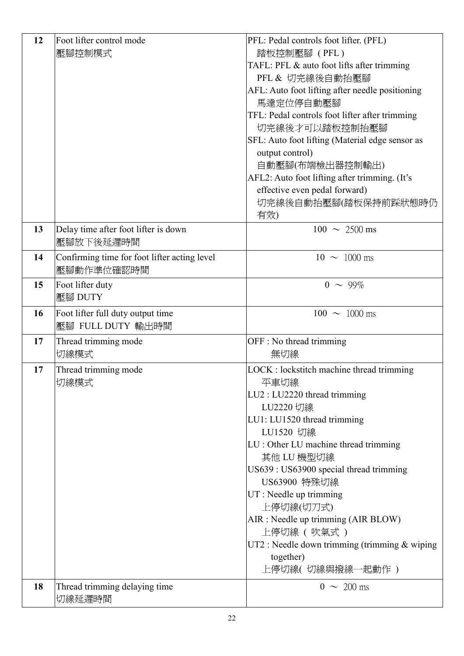| 12 | Foot lifter control mode                     | PFL: Pedal controls foot lifter. (PFL)                           |
|----|----------------------------------------------|------------------------------------------------------------------|
|    | 壓腳控制模式                                       | 踏板控制壓腳 (PFL)                                                     |
|    |                                              | TAFL: PFL & auto foot lifts after trimming                       |
|    |                                              | PFL & 切完線後自動抬壓腳                                                  |
|    |                                              | AFL: Auto foot lifting after needle positioning                  |
|    |                                              | 馬達定位停自動壓腳                                                        |
|    |                                              | TFL: Pedal controls foot lifter after trimming                   |
|    |                                              | 切完線後才可以踏板控制抬壓腳                                                   |
|    |                                              | SFL: Auto foot lifting (Material edge sensor as                  |
|    |                                              | output control)                                                  |
|    |                                              | 自動壓腳(布端檢出器控制輸出)<br>AFL2: Auto foot lifting after trimming. (It's |
|    |                                              | effective even pedal forward)                                    |
|    |                                              | 切完線後自動抬壓腳(踏板保持前踩狀態時仍                                             |
|    |                                              | 有效)                                                              |
| 13 | Delay time after foot lifter is down         | $100 \sim 2500 \text{ ms}$                                       |
|    | 壓腳放下後延遲時間                                    |                                                                  |
| 14 | Confirming time for foot lifter acting level | $10 \sim 1000 \text{ ms}$                                        |
|    | 壓腳動作準位確認時間                                   |                                                                  |
| 15 | Foot lifter duty<br>壓腳 DUTY                  | $0 \sim 99\%$                                                    |
|    |                                              |                                                                  |
| 16 | Foot lifter full duty output time            | $100 \sim 1000$ ms                                               |
|    | 壓腳 FULL DUTY 輸出時間                            |                                                                  |
| 17 | Thread trimming mode                         | OFF : No thread trimming                                         |
|    | 切線模式                                         | 無切線                                                              |
| 17 | Thread trimming mode                         | LOCK : lockstitch machine thread trimming                        |
|    | 切線模式                                         | 平車切線                                                             |
|    |                                              | $LU2: LU2220$ thread trimming                                    |
|    |                                              | LU2220 切線                                                        |
|    |                                              | LU1: LU1520 thread trimming                                      |
|    |                                              | LU1520 切線                                                        |
|    |                                              | LU : Other LU machine thread trimming                            |
|    |                                              | 其他 LU 機型切線<br>US639: US63900 special thread trimming             |
|    |                                              | US63900 特殊切線                                                     |
|    |                                              | UT : Needle up trimming                                          |
|    |                                              | 上停切線(切刀式)                                                        |
|    |                                              | AIR : Needle up trimming (AIR BLOW)                              |
|    |                                              | 上停切線 (吹氣式)                                                       |
|    |                                              | UT2 : Needle down trimming (trimming $&$ wiping                  |
|    |                                              | together)                                                        |
|    |                                              | 上停切線( 切線與撥線一起動作 )                                                |
| 18 | Thread trimming delaying time                | $0 \sim 200 \text{ ms}$                                          |
|    | 切線延遲時間                                       |                                                                  |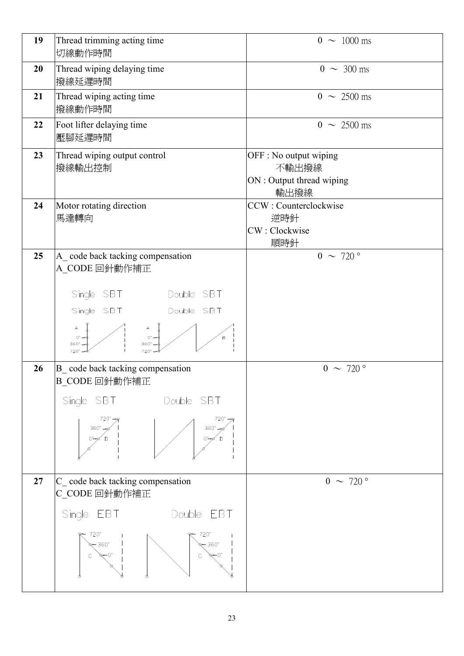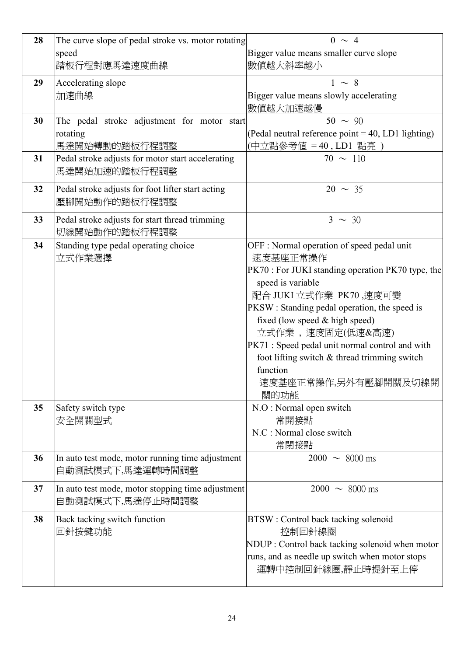| 28 | The curve slope of pedal stroke vs. motor rotating | $0 \sim 4$                                         |
|----|----------------------------------------------------|----------------------------------------------------|
|    | speed                                              | Bigger value means smaller curve slope             |
|    | 踏板行程對應馬達速度曲線                                       | 數值越大斜率越小                                           |
| 29 | Accelerating slope                                 | $1 \sim 8$                                         |
|    | 加速曲線                                               | Bigger value means slowly accelerating             |
|    |                                                    | 數值越大加速越慢                                           |
| 30 | The pedal stroke adjustment for motor start        | $50 \sim 90$                                       |
|    | rotating                                           | (Pedal neutral reference point = 40, LD1 lighting) |
|    | 馬達開始轉動的踏板行程調整                                      | (中立點參考值 = 40, LD1 點亮)                              |
| 31 | Pedal stroke adjusts for motor start accelerating  | $70 \sim 110$                                      |
|    | 馬達開始加速的踏板行程調整                                      |                                                    |
|    |                                                    | $20 \sim 35$                                       |
| 32 | Pedal stroke adjusts for foot lifter start acting  |                                                    |
|    | 壓腳開始動作的踏板行程調整                                      |                                                    |
| 33 | Pedal stroke adjusts for start thread trimming     | $3 \sim 30$                                        |
|    | 切線開始動作的踏板行程調整                                      |                                                    |
| 34 | Standing type pedal operating choice               | OFF : Normal operation of speed pedal unit         |
|    | 立式作業選擇                                             | 速度基座正常操作                                           |
|    |                                                    | PK70 : For JUKI standing operation PK70 type, the  |
|    |                                                    | speed is variable                                  |
|    |                                                    | 配合 JUKI 立式作業 PK70,速度可變                             |
|    |                                                    | PKSW : Standing pedal operation, the speed is      |
|    |                                                    | fixed (low speed $&$ high speed)                   |
|    |                                                    | 立式作業,速度固定(低速&高速)                                   |
|    |                                                    | PK71 : Speed pedal unit normal control and with    |
|    |                                                    | foot lifting switch & thread trimming switch       |
|    |                                                    | function                                           |
|    |                                                    | 速度基座正常操作,另外有壓腳開關及切線開                               |
|    |                                                    | 關的功能                                               |
| 35 | Safety switch type                                 | N.O : Normal open switch                           |
|    | 安全開關型式                                             | 常開接點                                               |
|    |                                                    | N.C : Normal close switch                          |
|    |                                                    | 常閉接點                                               |
| 36 | In auto test mode, motor running time adjustment   | $2000 \sim 8000$ ms                                |
|    | 自動測試模式下,馬達運轉時間調整                                   |                                                    |
| 37 | In auto test mode, motor stopping time adjustment  | $2000 \sim 8000$ ms                                |
|    | 自動測試模式下,馬達停止時間調整                                   |                                                    |
| 38 | Back tacking switch function                       | BTSW : Control back tacking solenoid               |
|    | 回針按鍵功能                                             | 控制回針線圈                                             |
|    |                                                    | NDUP : Control back tacking solenoid when motor    |
|    |                                                    | runs, and as needle up switch when motor stops     |
|    |                                                    | 運轉中控制回針線圈,靜止時提針至上停                                 |
|    |                                                    |                                                    |
|    |                                                    |                                                    |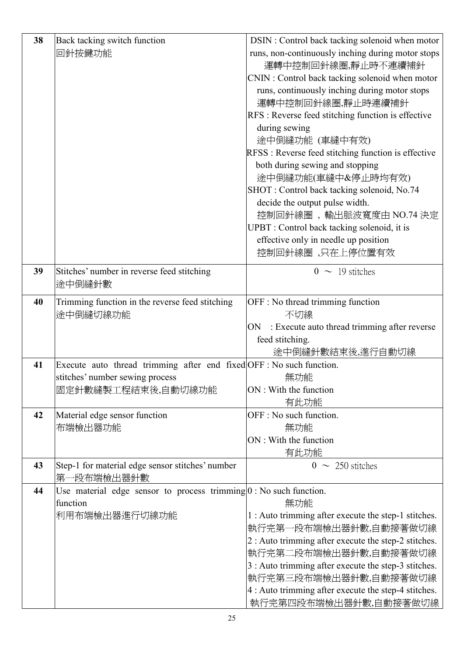| 38 | Back tacking switch function                                         | DSIN : Control back tacking solenoid when motor      |
|----|----------------------------------------------------------------------|------------------------------------------------------|
|    | 回針按鍵功能                                                               | runs, non-continuously inching during motor stops    |
|    |                                                                      | 運轉中控制回針線圈,靜止時不連續補針                                   |
|    |                                                                      | CNIN : Control back tacking solenoid when motor      |
|    |                                                                      | runs, continuously inching during motor stops        |
|    |                                                                      | 運轉中控制回針線圈,靜止時連續補針                                    |
|    |                                                                      | RFS : Reverse feed stitching function is effective   |
|    |                                                                      | during sewing                                        |
|    |                                                                      | 途中倒縫功能 (車縫中有效)                                       |
|    |                                                                      | RFSS : Reverse feed stitching function is effective  |
|    |                                                                      | both during sewing and stopping                      |
|    |                                                                      | 途中倒縫功能(車縫中&停止時均有效)                                   |
|    |                                                                      | SHOT: Control back tacking solenoid, No.74           |
|    |                                                                      | decide the output pulse width.                       |
|    |                                                                      | 控制回針線圈,輸出脈波寬度由 NO.74 決定                              |
|    |                                                                      | UPBT : Control back tacking solenoid, it is          |
|    |                                                                      | effective only in needle up position                 |
|    |                                                                      | 控制回針線圈,只在上停位置有效                                      |
|    |                                                                      |                                                      |
| 39 | Stitches' number in reverse feed stitching                           | $0 \sim 19$ stitches                                 |
|    | 途中倒縫針數                                                               |                                                      |
| 40 | Trimming function in the reverse feed stitching                      | OFF : No thread trimming function                    |
|    | 途中倒縫切線功能                                                             | 不切線                                                  |
|    |                                                                      | : Execute auto thread trimming after reverse<br>ON   |
|    |                                                                      | feed stitching.                                      |
|    |                                                                      | 途中倒縫針數結束後,進行自動切線                                     |
| 41 | Execute auto thread trimming after end fixed OFF : No such function. |                                                      |
|    | stitches' number sewing process                                      | 無功能                                                  |
|    | 固定針數縫製工程結束後,自動切線功能                                                   | ON: With the function                                |
|    |                                                                      | 有此功能                                                 |
| 42 | Material edge sensor function                                        | OFF : No such function.                              |
|    | 布端檢出器功能                                                              | 無功能                                                  |
|    |                                                                      | ON: With the function                                |
|    |                                                                      | 有此功能                                                 |
| 43 | Step-1 for material edge sensor stitches' number                     | $0 \sim 250$ stitches                                |
|    | 第一段布端檢出器針數                                                           |                                                      |
| 44 | Use material edge sensor to process trimming $0$ : No such function. |                                                      |
|    | function                                                             | 無功能                                                  |
|    | 利用布端檢出器進行切線功能                                                        | 1 : Auto trimming after execute the step-1 stitches. |
|    |                                                                      | 執行完第一段布端檢出器針數,自動接著做切線                                |
|    |                                                                      | 2 : Auto trimming after execute the step-2 stitches. |
|    |                                                                      | 執行完第二段布端檢出器針數,自動接著做切線                                |
|    |                                                                      | 3 : Auto trimming after execute the step-3 stitches. |
|    |                                                                      | 執行完第三段布端檢出器針數,自動接著做切線                                |
|    |                                                                      | 4 : Auto trimming after execute the step-4 stitches. |
|    |                                                                      | 執行完第四段布端檢出器針數,自動接著做切線                                |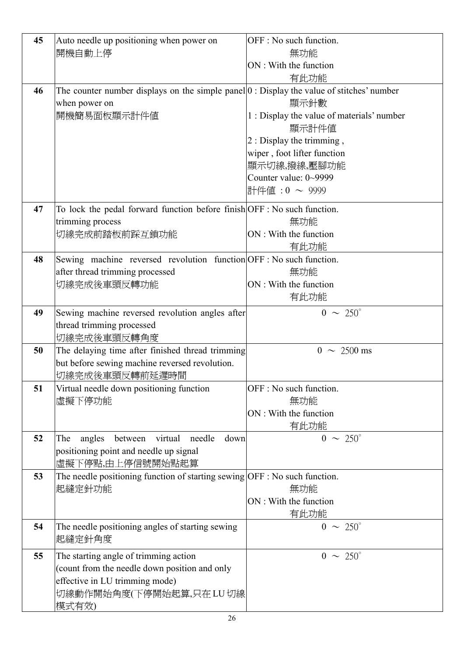| 45 | Auto needle up positioning when power on                                                    | OFF : No such function.                    |
|----|---------------------------------------------------------------------------------------------|--------------------------------------------|
|    | 開機自動上停                                                                                      | 無功能                                        |
|    |                                                                                             | ON: With the function                      |
|    |                                                                                             | 有此功能                                       |
| 46 | The counter number displays on the simple panel $ 0:$ Display the value of stitches' number |                                            |
|    | when power on                                                                               | 顯示針數                                       |
|    | 開機簡易面板顯示計件値                                                                                 | 1 : Display the value of materials' number |
|    |                                                                                             | 顯示計件値                                      |
|    |                                                                                             | 2 : Display the trimming,                  |
|    |                                                                                             | wiper, foot lifter function                |
|    |                                                                                             | 顯示切線,撥線,壓腳功能                               |
|    |                                                                                             | Counter value: 0~9999                      |
|    |                                                                                             | 計件値: 0 ~ 9999                              |
| 47 | To lock the pedal forward function before finish OFF : No such function.                    |                                            |
|    | trimming process                                                                            | 無功能                                        |
|    | 切線完成前踏板前踩互鎖功能                                                                               | ON : With the function                     |
|    |                                                                                             | 有此功能                                       |
| 48 | Sewing machine reversed revolution function OFF : No such function.                         |                                            |
|    | after thread trimming processed                                                             | 無功能                                        |
|    | 切線完成後車頭反轉功能                                                                                 | ON : With the function                     |
|    |                                                                                             | 有此功能                                       |
| 49 | Sewing machine reversed revolution angles after                                             | $0 \sim 250^{\circ}$                       |
|    | thread trimming processed                                                                   |                                            |
|    | 切線完成後車頭反轉角度                                                                                 |                                            |
| 50 | The delaying time after finished thread trimming                                            | $0 \sim 2500 \text{ ms}$                   |
|    | but before sewing machine reversed revolution.                                              |                                            |
|    | 切線完成後車頭反轉前延遲時間                                                                              |                                            |
| 51 | Virtual needle down positioning function                                                    | OFF : No such function.                    |
|    | 虛擬下停功能                                                                                      | 無功能                                        |
|    |                                                                                             | ON: With the function                      |
|    |                                                                                             | 有此功能                                       |
| 52 | angles<br>virtual<br>needle<br>down<br>The<br>between                                       | $0 \sim 250^{\circ}$                       |
|    | positioning point and needle up signal                                                      |                                            |
|    | 虛擬下停點,由上停信號開始點起算                                                                            |                                            |
| 53 | The needle positioning function of starting sewing OFF : No such function.                  |                                            |
|    | 起縫定針功能                                                                                      | 無功能                                        |
|    |                                                                                             | ON : With the function                     |
|    |                                                                                             | 有此功能                                       |
| 54 | The needle positioning angles of starting sewing<br>起縫定針角度                                  | $0 \sim 250^{\circ}$                       |
| 55 | The starting angle of trimming action                                                       | $0 \sim 250^{\circ}$                       |
|    | (count from the needle down position and only                                               |                                            |
|    | effective in LU trimming mode)                                                              |                                            |
|    | 切線動作開始角度(下停開始起算,只在LU切線                                                                      |                                            |
|    | 模式有效)                                                                                       |                                            |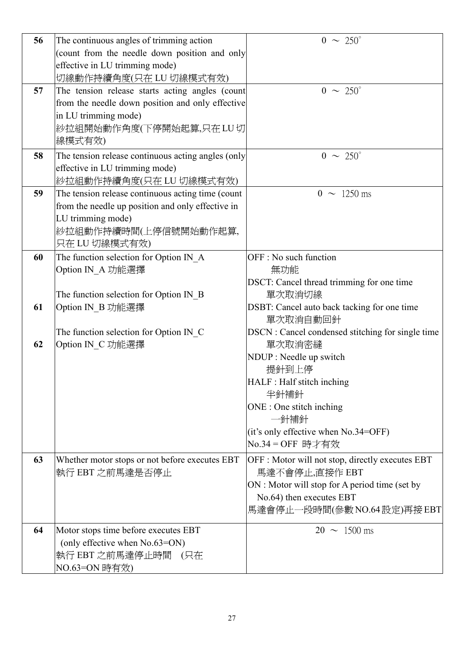| 56 | The continuous angles of trimming action           | $0 \sim 250^{\circ}$                              |
|----|----------------------------------------------------|---------------------------------------------------|
|    | (count from the needle down position and only      |                                                   |
|    | effective in LU trimming mode)                     |                                                   |
|    | 切線動作持續角度(只在 LU 切線模式有效)                             |                                                   |
| 57 | The tension release starts acting angles (count    | $0 \sim 250^{\circ}$                              |
|    | from the needle down position and only effective   |                                                   |
|    | in LU trimming mode)                               |                                                   |
|    | 紗拉組開始動作角度(下停開始起算,只在 LU 切                           |                                                   |
|    | 線模式有效)                                             |                                                   |
| 58 | The tension release continuous acting angles (only | $0 \sim 250^{\circ}$                              |
|    | effective in LU trimming mode)                     |                                                   |
|    | 紗拉組動作持續角度(只在 LU 切線模式有效)                            |                                                   |
| 59 | The tension release continuous acting time (count  | $0 \sim 1250 \text{ ms}$                          |
|    | from the needle up position and only effective in  |                                                   |
|    | LU trimming mode)                                  |                                                   |
|    | 紗拉組動作持續時間(上停信號開始動作起算,                              |                                                   |
|    | 只在 LU 切線模式有效)                                      |                                                   |
| 60 | The function selection for Option IN A             | OFF : No such function                            |
|    | Option IN_A 功能選擇                                   | 無功能                                               |
|    |                                                    | DSCT: Cancel thread trimming for one time         |
|    | The function selection for Option IN_B             | 單次取消切線                                            |
| 61 | Option IN_B 功能選擇                                   | DSBT: Cancel auto back tacking for one time       |
|    |                                                    | 單次取消自動回針                                          |
|    | The function selection for Option IN_C             | DSCN : Cancel condensed stitching for single time |
| 62 | Option IN_C 功能選擇                                   | 單次取消密縫                                            |
|    |                                                    | NDUP : Needle up switch                           |
|    |                                                    | 提針到上停                                             |
|    |                                                    | HALF : Half stitch inching                        |
|    |                                                    | 半針補針                                              |
|    |                                                    | ONE : One stitch inching                          |
|    |                                                    | 一針補針                                              |
|    |                                                    | (it's only effective when No.34=OFF)              |
|    |                                                    | No.34 = OFF 時才有效                                  |
| 63 | Whether motor stops or not before executes EBT     | OFF : Motor will not stop, directly executes EBT  |
|    | 執行 EBT 之前馬達是否停止                                    | 馬達不會停止,直接作 EBT                                    |
|    |                                                    | ON : Motor will stop for A period time (set by    |
|    |                                                    | No.64) then executes EBT                          |
|    |                                                    | 馬達會停止一段時間(參數 NO.64 設定)再接 EBT                      |
| 64 | Motor stops time before executes EBT               | $20 \sim 1500 \text{ ms}$                         |
|    | (only effective when No.63=ON)                     |                                                   |
|    | 執行 EBT 之前馬達停止時間 (只在                                |                                                   |
|    | NO.63=ON 時有效)                                      |                                                   |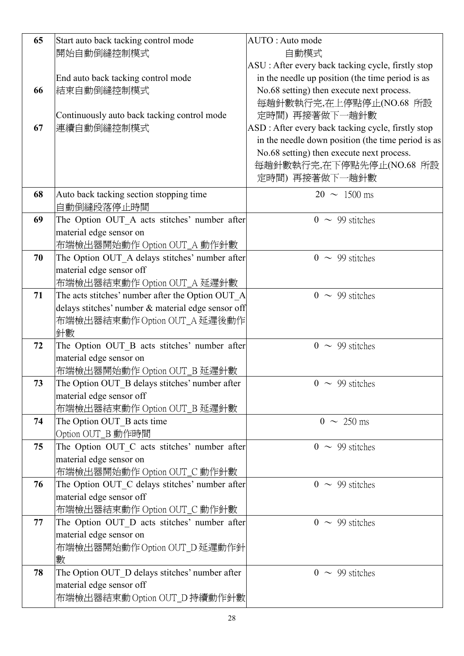| 65 | Start auto back tacking control mode                                          | AUTO: Auto mode                                    |
|----|-------------------------------------------------------------------------------|----------------------------------------------------|
|    | 開始自動倒縫控制模式                                                                    | 自動模式                                               |
|    |                                                                               | ASU : After every back tacking cycle, firstly stop |
|    | End auto back tacking control mode                                            | in the needle up position (the time period is as   |
| 66 | 結束自動倒縫控制模式                                                                    | No.68 setting) then execute next process.          |
|    |                                                                               | 每趟針數執行完,在上停點停止(NO.68 所設                            |
|    | Continuously auto back tacking control mode                                   | 定時間) 再接著做下一趟針數                                     |
| 67 | 連續自動倒縫控制模式                                                                    | ASD : After every back tacking cycle, firstly stop |
|    |                                                                               | in the needle down position (the time period is as |
|    |                                                                               | No.68 setting) then execute next process.          |
|    |                                                                               | 每趟針數執行完,在下停點先停止(NO.68 所設                           |
|    |                                                                               | 定時間) 再接著做下一趟針數                                     |
| 68 | Auto back tacking section stopping time                                       | $20 \sim 1500 \text{ ms}$                          |
|    | 自動倒縫段落停止時間                                                                    |                                                    |
| 69 | The Option OUT_A acts stitches' number after                                  | $0 \sim 99$ stitches                               |
|    | material edge sensor on                                                       |                                                    |
|    | 布端檢出器開始動作 Option OUT_A 動作針數                                                   |                                                    |
| 70 | The Option OUT_A delays stitches' number after                                | $0 \sim 99$ stitches                               |
|    | material edge sensor off                                                      |                                                    |
|    | 布端檢出器結束動作 Option OUT_A 延遲針數                                                   |                                                    |
| 71 | The acts stitches' number after the Option OUT_A                              | $0 \sim 99$ stitches                               |
|    | delays stitches' number & material edge sensor off                            |                                                    |
|    | 布端檢出器結束動作 Option OUT_A 延遲後動作                                                  |                                                    |
|    | 針數                                                                            |                                                    |
| 72 | The Option OUT_B acts stitches' number after                                  | $0 \sim 99$ stitches                               |
|    | material edge sensor on                                                       |                                                    |
|    | 布端檢出器開始動作 Option OUT_B 延遲針數                                                   |                                                    |
| 73 | The Option OUT_B delays stitches' number after                                | $0 \sim 99$ stitches                               |
|    | material edge sensor off                                                      |                                                    |
|    | 布端檢出器結束動作 Option OUT_B 延遲針數                                                   |                                                    |
| 74 | The Option OUT_B acts time                                                    | $0 \sim 250 \text{ ms}$                            |
|    | Option OUT_B 動作時間                                                             |                                                    |
| 75 | The Option OUT_C acts stitches' number after<br>material edge sensor on       | $0 \sim 99$ stitches                               |
|    |                                                                               |                                                    |
| 76 | 布端檢出器開始動作 Option OUT_C 動作針數<br>The Option OUT_C delays stitches' number after | $0 \sim 99$ stitches                               |
|    | material edge sensor off                                                      |                                                    |
|    | 布端檢出器結束動作 Option OUT_C 動作針數                                                   |                                                    |
| 77 | The Option OUT_D acts stitches' number after                                  | $0 \sim 99$ stitches                               |
|    | material edge sensor on                                                       |                                                    |
|    | 布端檢出器開始動作 Option OUT_D 延遲動作針                                                  |                                                    |
|    | 數                                                                             |                                                    |
| 78 | The Option OUT_D delays stitches' number after                                | $0 \sim 99$ stitches                               |
|    | material edge sensor off                                                      |                                                    |
|    | 布端檢出器結束動 Option OUT_D 持續動作針數                                                  |                                                    |
|    |                                                                               |                                                    |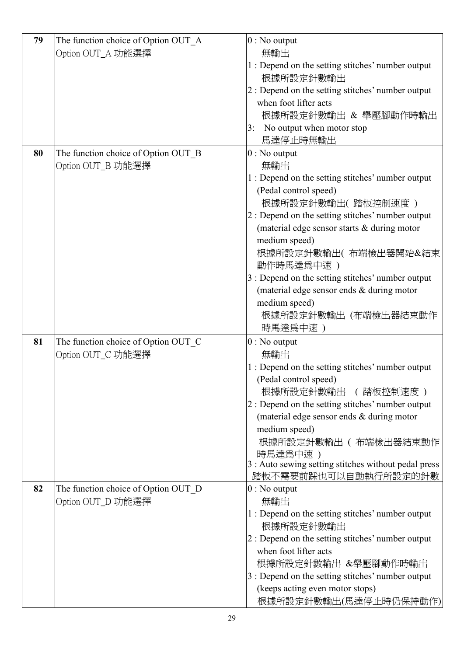| 79 | The function choice of Option OUT_A | $0:$ No output                                       |
|----|-------------------------------------|------------------------------------------------------|
|    | Option OUT_A 功能選擇                   | 無輸出                                                  |
|    |                                     | 1 : Depend on the setting stitches' number output    |
|    |                                     | 根據所設定針數輸出                                            |
|    |                                     | 2 : Depend on the setting stitches' number output    |
|    |                                     | when foot lifter acts                                |
|    |                                     | 根據所設定針數輸出 & 舉壓腳動作時輸出                                 |
|    |                                     | No output when motor stop<br>3:                      |
|    |                                     | 馬達停止時無輸出                                             |
| 80 | The function choice of Option OUT_B | $0:$ No output                                       |
|    | Option OUT_B 功能選擇                   | 無輸出                                                  |
|    |                                     | 1 : Depend on the setting stitches' number output    |
|    |                                     | (Pedal control speed)                                |
|    |                                     | 根據所設定針數輸出(踏板控制速度)                                    |
|    |                                     | 2 : Depend on the setting stitches' number output    |
|    |                                     | (material edge sensor starts & during motor          |
|    |                                     | medium speed)                                        |
|    |                                     | 根據所設定針數輸出(布端檢出器開始&結束                                 |
|    |                                     | 動作時馬達爲中速)                                            |
|    |                                     | 3 : Depend on the setting stitches' number output    |
|    |                                     | (material edge sensor ends & during motor            |
|    |                                     | medium speed)                                        |
|    |                                     | 根據所設定針數輸出 (布端檢出器結束動作                                 |
|    |                                     | 時馬達為中速)                                              |
| 81 | The function choice of Option OUT C | $0:$ No output                                       |
|    | Option OUT_C 功能選擇                   | 無輸出                                                  |
|    |                                     | 1 : Depend on the setting stitches' number output    |
|    |                                     | (Pedal control speed)                                |
|    |                                     | 根據所設定針數輸出 (踏板控制速度)                                   |
|    |                                     | 2 : Depend on the setting stitches' number output    |
|    |                                     | (material edge sensor ends & during motor            |
|    |                                     | medium speed)                                        |
|    |                                     | 根據所設定針數輸出 ( 布端檢出器結束動作                                |
|    |                                     | 時馬達爲中速 )                                             |
|    |                                     | 3 : Auto sewing setting stitches without pedal press |
|    |                                     | 踏板不需要前踩也可以自動執行所設定的針數                                 |
| 82 | The function choice of Option OUT_D | $0:$ No output                                       |
|    | Option OUT_D 功能選擇                   | 無輸出                                                  |
|    |                                     | 1 : Depend on the setting stitches' number output    |
|    |                                     | 根據所設定針數輸出                                            |
|    |                                     | 2 : Depend on the setting stitches' number output    |
|    |                                     | when foot lifter acts                                |
|    |                                     | 根據所設定針數輸出 &舉壓腳動作時輸出                                  |
|    |                                     | 3 : Depend on the setting stitches' number output    |
|    |                                     | (keeps acting even motor stops)                      |
|    |                                     | 根據所設定針數輸出(馬達停止時仍保持動作)                                |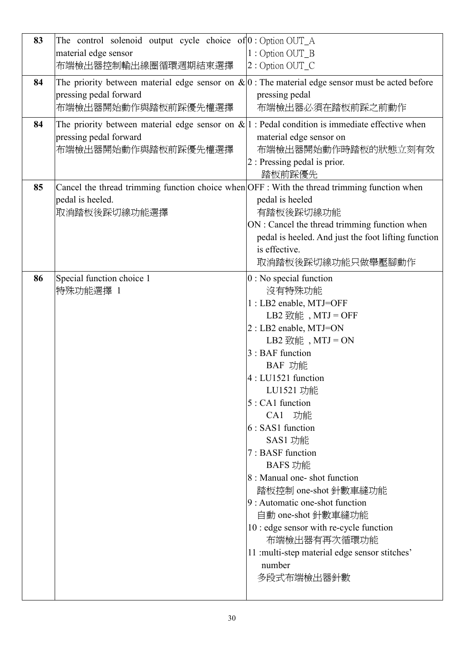| 83 | The control solenoid output cycle choice of $0:$ Option OUT_A<br>material edge sensor<br>布端檢出器控制輸出線圈循環週期結束選擇                                        | 1: Option OUT_B<br>2: Option OUT C                                                                                                                                                                                                                                                                                                                                                                                                                                                                                                                            |
|----|-----------------------------------------------------------------------------------------------------------------------------------------------------|---------------------------------------------------------------------------------------------------------------------------------------------------------------------------------------------------------------------------------------------------------------------------------------------------------------------------------------------------------------------------------------------------------------------------------------------------------------------------------------------------------------------------------------------------------------|
| 84 | The priority between material edge sensor on $\&0$ : The material edge sensor must be acted before<br>pressing pedal forward<br>布端檢出器開始動作與踏板前踩優先權選擇 | pressing pedal<br>布端檢出器必須在踏板前踩之前動作                                                                                                                                                                                                                                                                                                                                                                                                                                                                                                                            |
| 84 | The priority between material edge sensor on $\& 1 $ : Pedal condition is immediate effective when<br>pressing pedal forward<br>布端檢出器開始動作與踏板前踩優先權選擇 | material edge sensor on<br>布端檢出器開始動作時踏板的狀態立刻有效<br>2 : Pressing pedal is prior.<br>踏板前踩優先                                                                                                                                                                                                                                                                                                                                                                                                                                                                      |
| 85 | Cancel the thread trimming function choice when OFF : With the thread trimming function when<br>pedal is heeled.<br>取消踏板後踩切線功能選擇                    | pedal is heeled<br>有踏板後踩切線功能<br>ON : Cancel the thread trimming function when<br>pedal is heeled. And just the foot lifting function<br>is effective.<br>取消踏板後踩切線功能只做舉壓腳動作                                                                                                                                                                                                                                                                                                                                                                                    |
| 86 | Special function choice 1<br>特殊功能選擇 1                                                                                                               | $0:$ No special function<br>沒有特殊功能<br>1 : LB2 enable, MTJ=OFF<br>LB2 致能, $MTJ = OFF$<br>$2:LB2$ enable, MTJ=ON<br>LB2 致能, $MTJ = ON$<br>$3:BAF$ function<br>BAF 功能<br>$4: LU1521$ function<br>LU1521 功能<br>$5:CA1$ function<br>CA1 功能<br>$6: SAS1$ function<br>SAS1 功能<br>7 : BASF function<br>BAFS 功能<br>8 : Manual one-shot function<br>踏板控制 one-shot 針數車縫功能<br>$9:$ Automatic one-shot function<br>自動 one-shot 針數車縫功能<br>10 : edge sensor with re-cycle function<br>布端檢出器有再次循環功能<br>11 : multi-step material edge sensor stitches'<br>number<br>多段式布端檢出器針數 |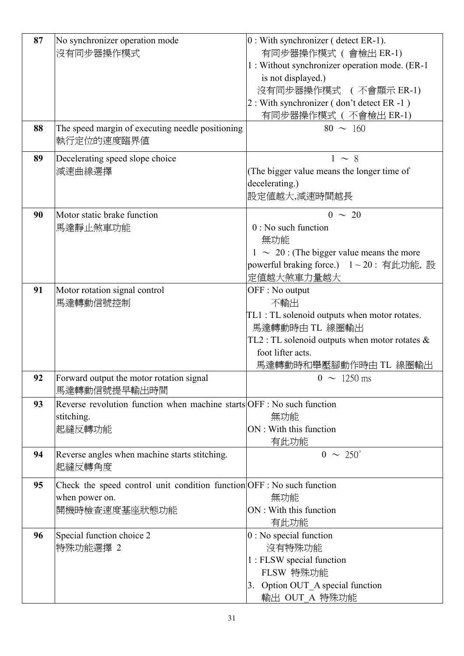| 87 | No synchronizer operation mode                                         | $ 0:$ With synchronizer (detect ER-1).                                 |
|----|------------------------------------------------------------------------|------------------------------------------------------------------------|
|    | 沒有同步器操作模式                                                              | 有同步器操作模式 (會檢出 ER-1)                                                    |
|    |                                                                        | 1 : Without synchronizer operation mode. (ER-1                         |
|    |                                                                        | is not displayed.)                                                     |
|    |                                                                        | 沒有同步器操作模式 (不會顯示 ER-1)                                                  |
|    |                                                                        | $2: With synchronizer (don't detect ER -1)$                            |
|    |                                                                        | 有同步器操作模式 (不會檢出 ER-1)                                                   |
| 88 | The speed margin of executing needle positioning                       | $80 \sim 160$                                                          |
|    | 執行定位的速度臨界値                                                             |                                                                        |
|    |                                                                        |                                                                        |
| 89 | Decelerating speed slope choice                                        | $1 \sim 8$                                                             |
|    | 減速曲線選擇                                                                 | (The bigger value means the longer time of                             |
|    |                                                                        | decelerating.)                                                         |
|    |                                                                        | 設定値越大,減速時間越長                                                           |
|    |                                                                        |                                                                        |
| 90 | Motor static brake function                                            | $0 \sim 20$                                                            |
|    | 馬達靜止煞車功能                                                               | $0:$ No such function                                                  |
|    |                                                                        | 無功能                                                                    |
|    |                                                                        | $1 \sim 20$ : (The bigger value means the more                         |
|    |                                                                        | powerful braking force.) 1~20: 有此功能, 設                                 |
|    |                                                                        | 定值越大煞車力量越大                                                             |
| 91 | Motor rotation signal control                                          | OFF : No output                                                        |
|    | 馬達轉動信號控制                                                               | 不輸出                                                                    |
|    |                                                                        | TL1 : TL solenoid outputs when motor rotates.                          |
|    |                                                                        | 馬達轉動時由 TL 線圈輸出                                                         |
|    |                                                                        |                                                                        |
|    |                                                                        | TL2 : TL solenoid outputs when motor rotates $\&$<br>foot lifter acts. |
|    |                                                                        |                                                                        |
|    |                                                                        | 馬達轉動時和舉壓腳動作時由 TL 線圈輸出                                                  |
| 92 | Forward output the motor rotation signal                               | $0 \sim 1250 \text{ ms}$                                               |
|    | 馬達轉動信號提早輸出時間                                                           |                                                                        |
| 93 | Reverse revolution function when machine starts OFF : No such function |                                                                        |
|    | stitching.                                                             | 無功能                                                                    |
|    | 起縫反轉功能                                                                 | ON : With this function                                                |
|    |                                                                        | 有此功能                                                                   |
| 94 | Reverse angles when machine starts stitching.                          | $0 \sim 250^{\circ}$                                                   |
|    | 起縫反轉角度                                                                 |                                                                        |
|    |                                                                        |                                                                        |
| 95 | Check the speed control unit condition function OFF : No such function |                                                                        |
|    | when power on.                                                         | 無功能                                                                    |
|    | 開機時檢查速度基座狀態功能                                                          | ON : With this function                                                |
|    |                                                                        | 有此功能                                                                   |
| 96 | Special function choice 2                                              | $0:$ No special function                                               |
|    | 特殊功能選擇 2                                                               | 沒有特殊功能                                                                 |
|    |                                                                        | 1 : FLSW special function                                              |
|    |                                                                        | FLSW 特殊功能                                                              |
|    |                                                                        | 3. Option OUT_A special function                                       |
|    |                                                                        |                                                                        |
|    |                                                                        | 輸出 OUT_A 特殊功能                                                          |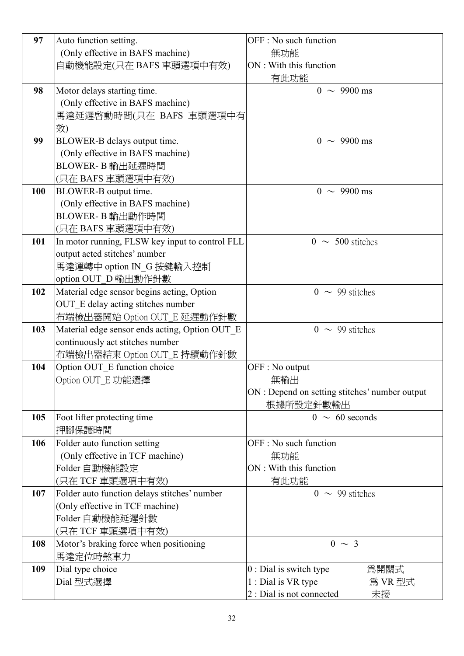| 97  | Auto function setting.                          | OFF : No such function                         |
|-----|-------------------------------------------------|------------------------------------------------|
|     |                                                 |                                                |
|     | (Only effective in BAFS machine)                | 無功能                                            |
|     | 自動機能設定(只在 BAFS 車頭選項中有效)                         | ON : With this function                        |
|     |                                                 | 有此功能                                           |
| 98  | Motor delays starting time.                     | $0 \sim 9900 \text{ ms}$                       |
|     | (Only effective in BAFS machine)                |                                                |
|     | 馬達延遲啓動時間(只在 BAFS 車頭選項中有                         |                                                |
|     | 效)                                              |                                                |
| 99  | BLOWER-B delays output time.                    | $0 \sim 9900 \text{ ms}$                       |
|     | (Only effective in BAFS machine)                |                                                |
|     | BLOWER-B 輸出延遲時間                                 |                                                |
|     | (只在 BAFS 車頭選項中有效)                               |                                                |
| 100 | BLOWER-B output time.                           | $0 \sim 9900 \text{ ms}$                       |
|     | (Only effective in BAFS machine)                |                                                |
|     | BLOWER-B 輸出動作時間                                 |                                                |
|     |                                                 |                                                |
|     | (只在 BAFS 車頭選項中有效)                               |                                                |
| 101 | In motor running, FLSW key input to control FLL | $0 \sim 500$ stitches                          |
|     | output acted stitches' number                   |                                                |
|     | 馬達運轉中 option IN_G 按鍵輸入控制                        |                                                |
|     | option OUT_D 輸出動作針數                             |                                                |
| 102 | Material edge sensor begins acting, Option      | $0 \sim 99$ stitches                           |
|     | OUT E delay acting stitches number              |                                                |
|     | 布端檢出器開始 Option OUT_E 延遲動作針數                     |                                                |
| 103 | Material edge sensor ends acting, Option OUT_E  | $0 \sim 99$ stitches                           |
|     | continuously act stitches number                |                                                |
|     | 布端檢出器結束 Option OUT_E 持續動作針數                     |                                                |
| 104 | Option OUT E function choice                    | OFF : No output                                |
|     | Option OUT_E 功能選擇                               | 無輸出                                            |
|     |                                                 | ON : Depend on setting stitches' number output |
|     |                                                 | 根據所設定針數輸出                                      |
| 105 | Foot lifter protecting time                     | $0 \sim 60$ seconds                            |
|     | 押腳保護時間                                          |                                                |
| 106 | Folder auto function setting                    | OFF : No such function                         |
|     | (Only effective in TCF machine)                 | 無功能                                            |
|     | Folder 自動機能設定                                   | ON : With this function                        |
|     | (只在 TCF 車頭選項中有效)                                | 有此功能                                           |
| 107 | Folder auto function delays stitches' number    | $0 \sim 99$ stitches                           |
|     | (Only effective in TCF machine)                 |                                                |
|     |                                                 |                                                |
|     | Folder 自動機能延遲針數                                 |                                                |
|     | (只在 TCF 車頭選項中有效)                                |                                                |
| 108 | Motor's braking force when positioning          | $0 \sim 3$                                     |
|     | 馬達定位時煞車力                                        |                                                |
| 109 | Dial type choice                                | $0:$ Dial is switch type<br>爲開關式               |
|     | Dial 型式選擇                                       | 1 : Dial is VR type<br>爲 VR 型式                 |
|     |                                                 | 2 : Dial is not connected<br>未接                |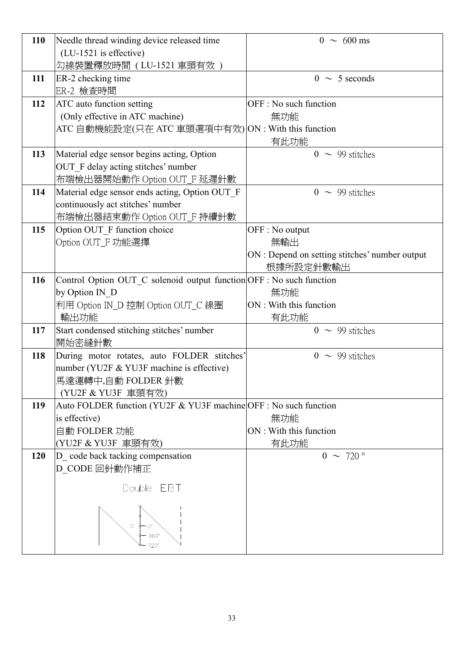| 110 | Needle thread winding device released time                           | $0 \sim 600 \text{ ms}$                        |
|-----|----------------------------------------------------------------------|------------------------------------------------|
|     | (LU-1521 is effective)                                               |                                                |
|     | 勾線裝置釋放時間 ( LU-1521 車頭有效 )                                            |                                                |
| 111 | ER-2 checking time                                                   | $0 \sim 5$ seconds                             |
|     | ER-2 檢查時間                                                            |                                                |
| 112 | <b>ATC</b> auto function setting                                     | OFF : No such function                         |
|     | (Only effective in ATC machine)                                      | 無功能                                            |
|     | ATC 自動機能設定(只在 ATC 車頭選項中有效) ON : With this function                   |                                                |
|     |                                                                      | 有此功能                                           |
| 113 | Material edge sensor begins acting, Option                           | $0 \sim 99$ stitches                           |
|     | OUT F delay acting stitches' number                                  |                                                |
|     | 布端檢出器開始動作 Option OUT_F 延遲針數                                          |                                                |
| 114 | Material edge sensor ends acting, Option OUT_F                       | $0 \sim 99$ stitches                           |
|     | continuously act stitches' number                                    |                                                |
|     | 布端檢出器結束動作 Option OUT_F 持續針數                                          |                                                |
| 115 | Option OUT F function choice                                         | OFF : No output                                |
|     | Option OUT_F 功能選擇                                                    | 無輸出                                            |
|     |                                                                      | ON : Depend on setting stitches' number output |
|     |                                                                      | 根據所設定針數輸出                                      |
| 116 | Control Option OUT_C solenoid output function OFF : No such function |                                                |
|     | by Option IN D                                                       | 無功能                                            |
|     | 利用 Option IN_D 控制 Option OUT_C 線圈                                    | ON : With this function                        |
|     | 輸出功能                                                                 | 有此功能                                           |
| 117 | Start condensed stitching stitches' number                           | $0 \sim 99$ stitches                           |
|     | 開始密縫針數                                                               |                                                |
| 118 | During motor rotates, auto FOLDER stitches'                          | $0 \sim 99$ stitches                           |
|     | number (YU2F & YU3F machine is effective)                            |                                                |
|     | 馬達運轉中,自動 FOLDER 針數<br>(YU2F & YU3F 車頭有效)                             |                                                |
| 119 | Auto FOLDER function (YU2F & YU3F machine OFF : No such function     |                                                |
|     | is effective)                                                        | 無功能                                            |
|     | 自動 FOLDER 功能                                                         | ON : With this function                        |
|     | (YU2F & YU3F 車頭有效)                                                   | 有此功能                                           |
| 120 | D code back tacking compensation                                     | $0 \sim 720$ $^{\circ}$                        |
|     | D_CODE 回針動作補正                                                        |                                                |
|     |                                                                      |                                                |
|     | EBT<br>Double                                                        |                                                |
|     | 360<br>720°                                                          |                                                |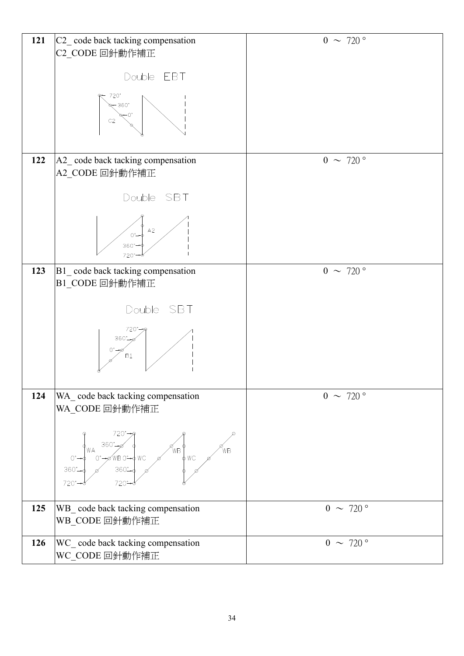| 121 | C2_code back tacking compensation                                                                                               | $0 \sim 720$ °          |
|-----|---------------------------------------------------------------------------------------------------------------------------------|-------------------------|
|     | C2_CODE 回針動作補正                                                                                                                  |                         |
|     |                                                                                                                                 |                         |
|     |                                                                                                                                 |                         |
|     | Double EBT                                                                                                                      |                         |
|     |                                                                                                                                 |                         |
|     | 720°                                                                                                                            |                         |
|     | $8 - 360^{\circ}$                                                                                                               |                         |
|     |                                                                                                                                 |                         |
|     | C <sub>2</sub>                                                                                                                  |                         |
|     |                                                                                                                                 |                         |
|     |                                                                                                                                 |                         |
|     |                                                                                                                                 |                         |
| 122 | A2_code back tacking compensation                                                                                               | $0 \sim 720$ $^{\circ}$ |
|     |                                                                                                                                 |                         |
|     | A2_CODE 回針動作補正                                                                                                                  |                         |
|     |                                                                                                                                 |                         |
|     |                                                                                                                                 |                         |
|     | Double SBT                                                                                                                      |                         |
|     |                                                                                                                                 |                         |
|     |                                                                                                                                 |                         |
|     | A2                                                                                                                              |                         |
|     | $0^{\circ}$                                                                                                                     |                         |
|     | $360 -$                                                                                                                         |                         |
|     | 720°                                                                                                                            |                         |
|     |                                                                                                                                 |                         |
| 123 | B1_code back tacking compensation                                                                                               | $0 \sim 720$ $^{\circ}$ |
|     | B1_CODE 回針動作補正                                                                                                                  |                         |
|     |                                                                                                                                 |                         |
|     |                                                                                                                                 |                         |
|     | Double SBT                                                                                                                      |                         |
|     |                                                                                                                                 |                         |
|     | 720°                                                                                                                            |                         |
|     | $360^{\circ}$                                                                                                                   |                         |
|     |                                                                                                                                 |                         |
|     | B1                                                                                                                              |                         |
|     |                                                                                                                                 |                         |
|     |                                                                                                                                 |                         |
|     |                                                                                                                                 |                         |
| 124 | WA_code back tacking compensation                                                                                               | $0 \sim 720^{\circ}$    |
|     | WA_CODE 回針動作補正                                                                                                                  |                         |
|     |                                                                                                                                 |                         |
|     |                                                                                                                                 |                         |
|     | 720°-                                                                                                                           |                         |
|     | 360                                                                                                                             |                         |
|     | 'WΑ<br>ŃВ                                                                                                                       |                         |
|     | $W = \n\begin{cases} \n\phi & \text{if } V \in \mathbb{R} \n\end{cases}$<br>0°-0'WB 0°-0 WC<br>0°-0'WB 0°-0 WC<br>$0^{\circ}$ - |                         |
|     | 360°                                                                                                                            |                         |
|     |                                                                                                                                 |                         |
|     | 720°                                                                                                                            |                         |
|     |                                                                                                                                 |                         |
| 125 | WB_ code back tacking compensation                                                                                              | $0 \sim 720$ $^{\circ}$ |
|     |                                                                                                                                 |                         |
|     | WB_CODE 回針動作補正                                                                                                                  |                         |
|     |                                                                                                                                 |                         |
| 126 | WC_ code back tacking compensation                                                                                              | $0 \sim 720$            |
|     | WC_CODE 回針動作補正                                                                                                                  |                         |
|     |                                                                                                                                 |                         |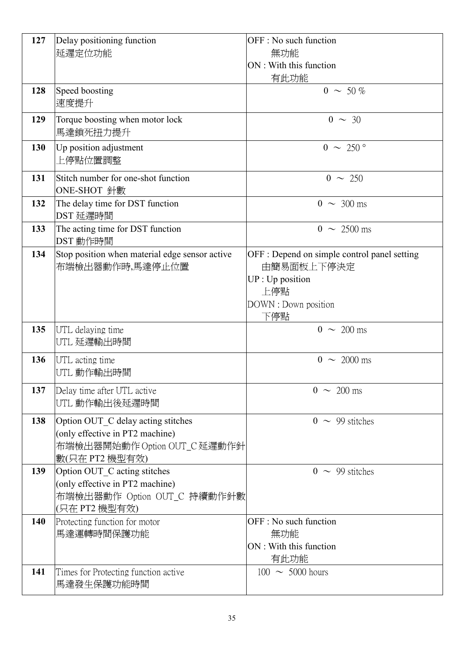| 127 | Delay positioning function                     | OFF : No such function                       |
|-----|------------------------------------------------|----------------------------------------------|
|     | 延遲定位功能                                         | 無功能                                          |
|     |                                                | ON : With this function                      |
|     |                                                | 有此功能                                         |
| 128 | Speed boosting                                 | $0 \sim 50 \%$                               |
|     | 速度提升                                           |                                              |
|     |                                                |                                              |
| 129 | Torque boosting when motor lock                | $0 \sim 30$                                  |
|     | 馬達鎖死扭力提升                                       |                                              |
| 130 | Up position adjustment                         | $0 \sim 250$ °                               |
|     | 上停點位置調整                                        |                                              |
| 131 | Stitch number for one-shot function            | $0 \sim 250$                                 |
|     | ONE-SHOT 針數                                    |                                              |
| 132 | The delay time for DST function                | $0 \sim 300 \text{ ms}$                      |
|     | DST 延遲時間                                       |                                              |
| 133 | The acting time for DST function               | $0 \sim 2500 \text{ ms}$                     |
|     | DST 動作時間                                       |                                              |
| 134 | Stop position when material edge sensor active | OFF : Depend on simple control panel setting |
|     | 布端檢出器動作時,馬達停止位置                                | 由簡易面板上下停決定                                   |
|     |                                                | UP : Up position                             |
|     |                                                | 上停點                                          |
|     |                                                | DOWN : Down position                         |
|     |                                                | 下停點                                          |
| 135 | UTL delaying time                              | $0 \sim 200 \text{ ms}$                      |
|     | UTL 延遲輸出時間                                     |                                              |
| 136 | UTL acting time                                | $0 \sim 2000 \text{ ms}$                     |
|     | UTL 動作輸出時間                                     |                                              |
|     |                                                |                                              |
| 137 | Delay time after UTL active                    | $0 \sim 200 \text{ ms}$                      |
|     | UTL 動作輸出後延遲時間                                  |                                              |
| 138 | Option OUT_C delay acting stitches             | $0 \sim 99$ stitches                         |
|     | (only effective in PT2 machine)                |                                              |
|     | 布端檢出器開始動作 Option OUT_C 延遲動作針                   |                                              |
|     | 數(只在 PT2 機型有效)                                 |                                              |
| 139 | Option OUT_C acting stitches                   | $0 \sim 99$ stitches                         |
|     | (only effective in PT2 machine)                |                                              |
|     | 布端檢出器動作 Option OUT_C 持續動作針數                    |                                              |
|     | (只在 PT2 機型有效)                                  |                                              |
| 140 | Protecting function for motor                  | OFF : No such function                       |
|     | 馬達運轉時間保護功能                                     | 無功能                                          |
|     |                                                | ON : With this function                      |
|     |                                                | 有此功能                                         |
| 141 | Times for Protecting function active           | $100 \sim 5000$ hours                        |
|     | 馬達發生保護功能時間                                     |                                              |
|     |                                                |                                              |